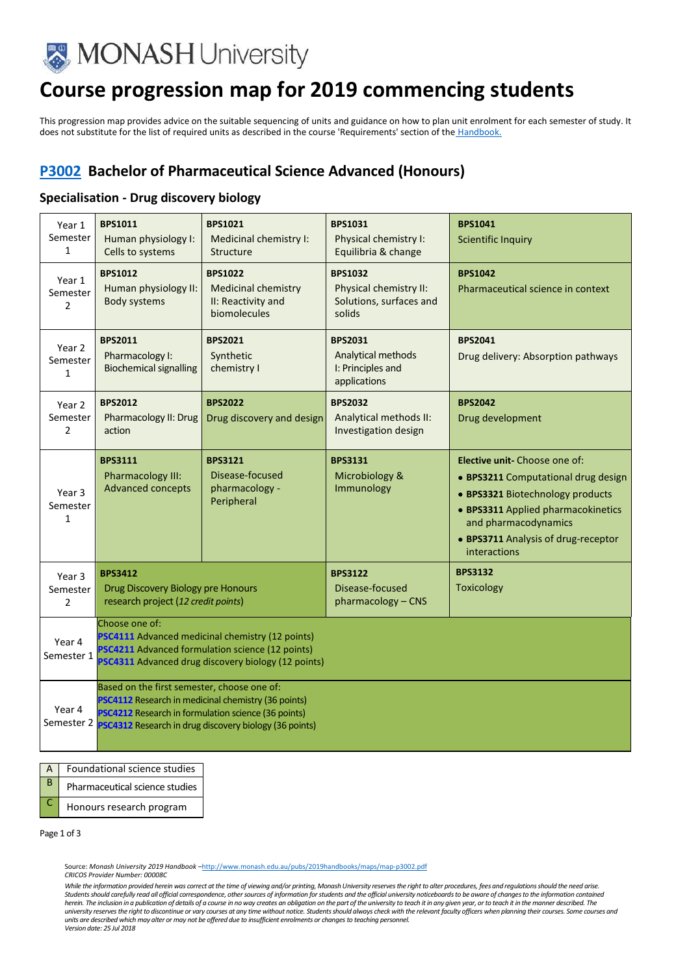

# **Course progression map for 2019 commencing students**

This progression map provides advice on the suitable sequencing of units and guidance on how to plan unit enrolment for each semester of study. It does not substitute for the list of required units as described in the course 'Requirements' section of the [Handbook.](http://www.monash.edu/pubs/2019handbooks/courses/P3002.html)

## **[P3002](http://www.monash.edu/pubs/2019handbooks/courses/P3002.html) Bachelor of Pharmaceutical Science Advanced (Honours)**

#### **Specialisation - Drug discovery biology**

| Year 1<br>Semester<br>$\mathbf{1}$   | <b>BPS1011</b><br>Human physiology I:<br>Cells to systems                                                                                                                                                           | <b>BPS1021</b><br>Medicinal chemistry I:<br><b>Structure</b>                       | <b>BPS1031</b><br>Physical chemistry I:<br>Equilibria & change                | <b>BPS1041</b><br><b>Scientific Inquiry</b>                                                                                                                                                                                   |
|--------------------------------------|---------------------------------------------------------------------------------------------------------------------------------------------------------------------------------------------------------------------|------------------------------------------------------------------------------------|-------------------------------------------------------------------------------|-------------------------------------------------------------------------------------------------------------------------------------------------------------------------------------------------------------------------------|
| Year 1<br>Semester<br>$\mathfrak{p}$ | <b>BPS1012</b><br>Human physiology II:<br><b>Body systems</b>                                                                                                                                                       | <b>BPS1022</b><br><b>Medicinal chemistry</b><br>II: Reactivity and<br>biomolecules | <b>BPS1032</b><br>Physical chemistry II:<br>Solutions, surfaces and<br>solids | <b>BPS1042</b><br>Pharmaceutical science in context                                                                                                                                                                           |
| Year 2<br>Semester<br>1              | <b>BPS2011</b><br>Pharmacology I:<br><b>Biochemical signalling</b>                                                                                                                                                  | <b>BPS2021</b><br>Synthetic<br>chemistry I                                         | <b>BPS2031</b><br>Analytical methods<br>I: Principles and<br>applications     | <b>BPS2041</b><br>Drug delivery: Absorption pathways                                                                                                                                                                          |
| Year 2<br>Semester<br>2              | <b>BPS2012</b><br>Pharmacology II: Drug<br>action                                                                                                                                                                   | <b>BPS2022</b><br>Drug discovery and design                                        | <b>BPS2032</b><br>Analytical methods II:<br>Investigation design              | <b>BPS2042</b><br>Drug development                                                                                                                                                                                            |
| Year 3<br>Semester<br>1              | <b>BPS3111</b><br><b>Pharmacology III:</b><br>Advanced concepts                                                                                                                                                     | <b>BPS3121</b><br>Disease-focused<br>pharmacology -<br>Peripheral                  | <b>BPS3131</b><br>Microbiology &<br>Immunology                                | Elective unit- Choose one of:<br>• BPS3211 Computational drug design<br>· BPS3321 Biotechnology products<br>• BPS3311 Applied pharmacokinetics<br>and pharmacodynamics<br>• BPS3711 Analysis of drug-receptor<br>interactions |
| Year 3<br>Semester<br>2              | <b>BPS3412</b><br>Drug Discovery Biology pre Honours<br>research project (12 credit points)                                                                                                                         |                                                                                    | <b>BPS3122</b><br>Disease-focused<br>pharmacology - CNS                       | <b>BPS3132</b><br><b>Toxicology</b>                                                                                                                                                                                           |
| Year 4<br>Semester 1                 | Choose one of:<br>PSC4111 Advanced medicinal chemistry (12 points)<br>PSC4211 Advanced formulation science (12 points)<br>PSC4311 Advanced drug discovery biology (12 points)                                       |                                                                                    |                                                                               |                                                                                                                                                                                                                               |
| Year 4<br>Semester 2                 | Based on the first semester, choose one of:<br>PSC4112 Research in medicinal chemistry (36 points)<br>PSC4212 Research in formulation science (36 points)<br>PSC4312 Research in drug discovery biology (36 points) |                                                                                    |                                                                               |                                                                                                                                                                                                                               |

| A | Foundational science studies   |
|---|--------------------------------|
| R | Pharmaceutical science studies |
|   | Honours research program       |

Page 1 of 3

Source: *Monash University 2019 Handbook –*<http://www.monash.edu.au/pubs/2019handbooks/maps/map-p3002.pdf>

*CRICOS Provider Number: 00008C*

*While the information provided herein was correct at the time of viewing and/or printing, Monash University reserves the right to alter procedures, fees and regulations should the need arise. Students should carefully read all official correspondence, other sources of information for students and the official university noticeboards to be aware of changes to the information contained*  herein. The inclusion in a publication of details of a course in no way creates an obligation on the part of the university to teach it in any given year, or to teach it in the manner described. The university reserves the right to discontinue or vary courses at any time without notice. Students should always check with the relevant faculty officers when planning their courses. Some courses and<br>units are described whi *Version date: 25 Jul 2018*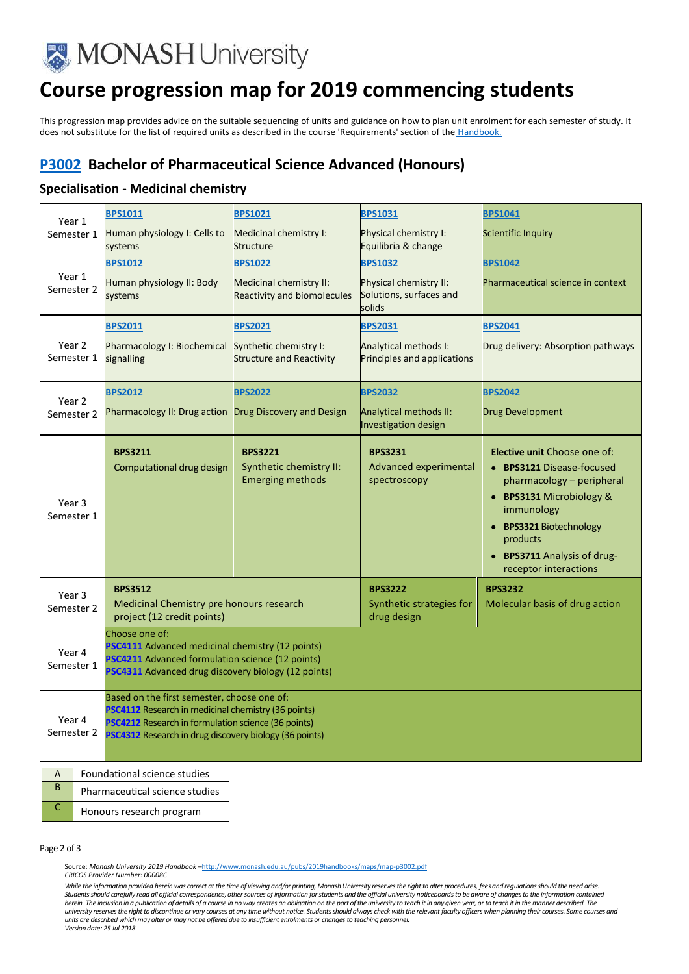

## **Course progression map for 2019 commencing students**

This progression map provides advice on the suitable sequencing of units and guidance on how to plan unit enrolment for each semester of study. It does not substitute for the list of required units as described in the course 'Requirements' section of the [Handbook.](http://www.monash.edu/pubs/2019handbooks/courses/P3002.html)

### **[P3002](http://www.monash.edu/pubs/2019handbooks/courses/P3002.html) Bachelor of Pharmaceutical Science Advanced (Honours)**

### **Specialisation - Medicinal chemistry**

| Year 1<br>Semester 1 | <b>BPS1011</b><br>Human physiology I: Cells to<br>systems                                                                                                                                                                  | <b>BPS1021</b><br>Medicinal chemistry I:<br><b>Structure</b>                    | <b>BPS1031</b><br>Physical chemistry I:<br>Equilibria & change                | <b>BPS1041</b><br><b>Scientific Inquiry</b>                                                                                                                                                                                     |
|----------------------|----------------------------------------------------------------------------------------------------------------------------------------------------------------------------------------------------------------------------|---------------------------------------------------------------------------------|-------------------------------------------------------------------------------|---------------------------------------------------------------------------------------------------------------------------------------------------------------------------------------------------------------------------------|
| Year 1<br>Semester 2 | <b>BPS1012</b><br>Human physiology II: Body<br>systems                                                                                                                                                                     | <b>BPS1022</b><br>Medicinal chemistry II:<br><b>Reactivity and biomolecules</b> | <b>BPS1032</b><br>Physical chemistry II:<br>Solutions, surfaces and<br>solids | <b>BPS1042</b><br>Pharmaceutical science in context                                                                                                                                                                             |
| Year 2<br>Semester 1 | <b>BPS2011</b><br>Pharmacology I: Biochemical<br>signalling                                                                                                                                                                | <b>BPS2021</b><br>Synthetic chemistry I:<br><b>Structure and Reactivity</b>     | <b>BPS2031</b><br>Analytical methods I:<br>Principles and applications        | <b>BPS2041</b><br>Drug delivery: Absorption pathways                                                                                                                                                                            |
| Year 2<br>Semester 2 | <b>BPS2012</b><br>Pharmacology II: Drug action Drug Discovery and Design                                                                                                                                                   | <b>BPS2022</b>                                                                  | <b>BPS2032</b><br>Analytical methods II:<br>Investigation design              | <b>BPS2042</b><br><b>Drug Development</b>                                                                                                                                                                                       |
| Year 3<br>Semester 1 | <b>BPS3211</b><br>Computational drug design                                                                                                                                                                                | <b>BPS3221</b><br>Synthetic chemistry II:<br><b>Emerging methods</b>            | <b>BPS3231</b><br>Advanced experimental<br>spectroscopy                       | Elective unit Choose one of:<br>• BPS3121 Disease-focused<br>pharmacology - peripheral<br>• BPS3131 Microbiology &<br>immunology<br>• BPS3321 Biotechnology<br>products<br>• BPS3711 Analysis of drug-<br>receptor interactions |
| Year 3<br>Semester 2 | <b>BPS3512</b><br>Medicinal Chemistry pre honours research<br>project (12 credit points)                                                                                                                                   |                                                                                 | <b>BPS3222</b><br>Synthetic strategies for<br>drug design                     | <b>BPS3232</b><br>Molecular basis of drug action                                                                                                                                                                                |
| Year 4<br>Semester 1 | Choose one of:<br><b>PSC4111</b> Advanced medicinal chemistry (12 points)<br>PSC4211 Advanced formulation science (12 points)<br><b>PSC4311</b> Advanced drug discovery biology (12 points)                                |                                                                                 |                                                                               |                                                                                                                                                                                                                                 |
| Year 4<br>Semester 2 | Based on the first semester, choose one of:<br><b>PSC4112</b> Research in medicinal chemistry (36 points)<br>PSC4212 Research in formulation science (36 points)<br>PSC4312 Research in drug discovery biology (36 points) |                                                                                 |                                                                               |                                                                                                                                                                                                                                 |
| A<br>B               |                                                                                                                                                                                                                            |                                                                                 |                                                                               |                                                                                                                                                                                                                                 |
|                      | Foundational science studies<br>Pharmaceutical science studies                                                                                                                                                             |                                                                                 |                                                                               |                                                                                                                                                                                                                                 |

Honours research program

Page 2 of 3

Source: *Monash University 2019 Handbook –*<http://www.monash.edu.au/pubs/2019handbooks/maps/map-p3002.pdf>

*CRICOS Provider Number: 00008C*

*While the information provided herein was correct at the time of viewing and/or printing, Monash University reserves the right to alter procedures, fees and regulations should the need arise. Students should carefully read all official correspondence, other sources of information for students and the official university noticeboards to be aware of changes to the information contained*  herein. The inclusion in a publication of details of a course in no way creates an obligation on the part of the university to teach it in any given year, or to teach it in the manner described. The university reserves the right to discontinue or vary courses at any time without notice. Students should always check with the relevant faculty officers when planning their courses. Some courses and<br>units are described whi *Version date: 25 Jul 2018*